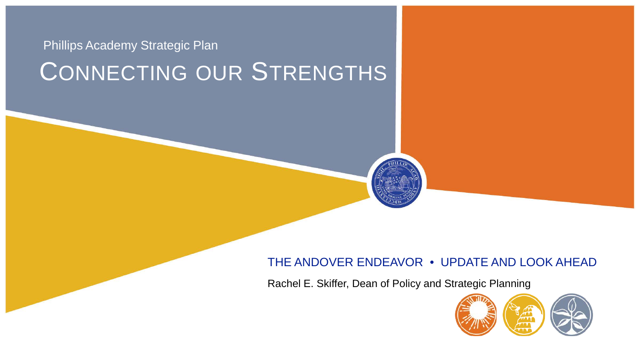# CONNECTING OUR STRENGTHS Phillips Academy Strategic Plan

### THE ANDOVER ENDEAVOR • UPDATE AND LOOK AHEAD

Rachel E. Skiffer, Dean of Policy and Strategic Planning

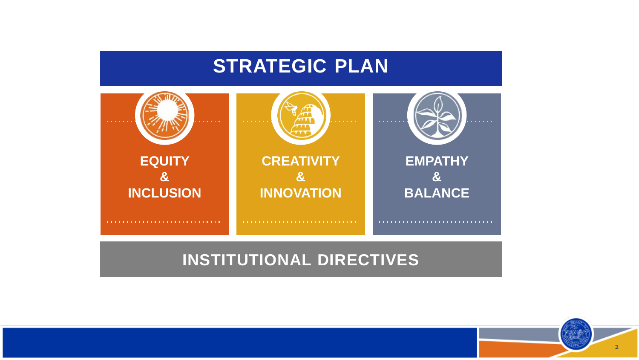### **STRATEGIC PLAN**



### **INSTITUTIONAL DIRECTIVES**

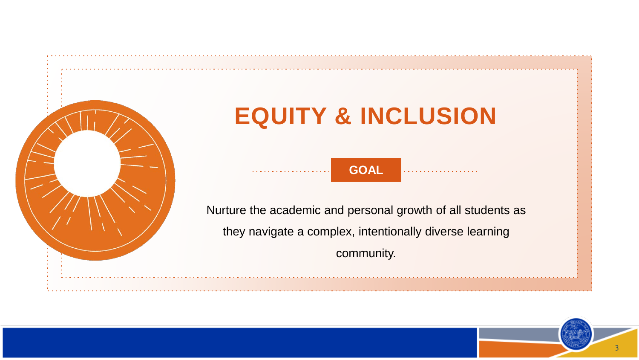

# **EQUITY & INCLUSION**

**GOAL**

Nurture the academic and personal growth of all students as they navigate a complex, intentionally diverse learning community.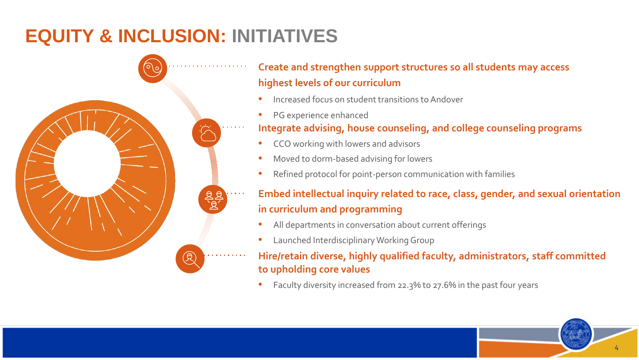# **EQUITY & INCLUSION: INITIATIVES**



### **Create and strengthen support structures so all students may access highest levels of our curriculum**

- Increased focus on student transitions to Andover
- PG experience enhanced

#### **Integrate advising, house counseling, and college counseling programs**

- CCO working with lowers and advisors
- Moved to dorm-based advising for lowers
- Refined protocol for point-person communication with families

### **Embed intellectual inquiry related to race, class, gender, and sexual orientation in curriculum and programming**

- All departments in conversation about current offerings
- Launched Interdisciplinary Working Group

#### **Hire/retain diverse, highly qualified faculty, administrators, staff committed to upholding core values**

• Faculty diversity increased from 22.3% to 27.6% in the past four years

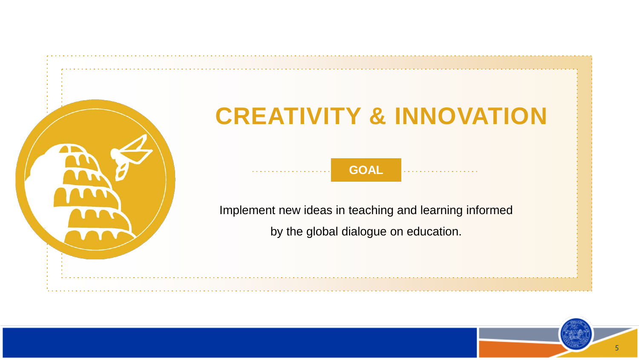

# **CREATIVITY & INNOVATION**

**GOAL**

Implement new ideas in teaching and learning informed

by the global dialogue on education.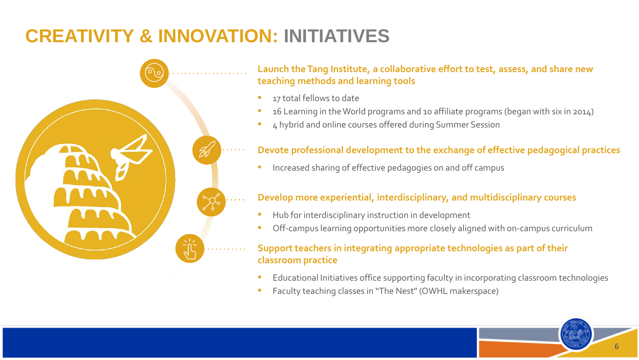## **CREATIVITY & INNOVATION: INITIATIVES**



#### **Launch the Tang Institute, a collaborative effort to test, assess, and share new teaching methods and learning tools**

- 17 total fellows to date
- 16 Learning in the World programs and 10 affiliate programs (began with six in 2014)
- 4 hybrid and online courses offered during Summer Session

#### **Devote professional development to the exchange of effective pedagogical practices**

• Increased sharing of effective pedagogies on and off campus

#### **Develop more experiential, interdisciplinary, and multidisciplinary courses**

- Hub for interdisciplinary instruction in development
- Off-campus learning opportunities more closely aligned with on-campus curriculum

#### **Support teachers in integrating appropriate technologies as part of their classroom practice**

- Educational Initiatives office supporting faculty in incorporating classroom technologies
- Faculty teaching classes in "The Nest" (OWHL makerspace)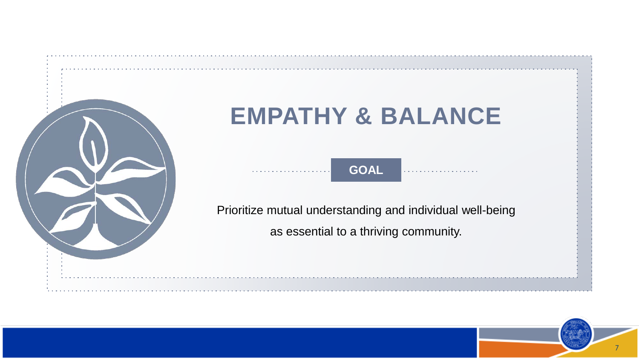

# **EMPATHY & BALANCE**

**GOAL**

Prioritize mutual understanding and individual well-being

as essential to a thriving community.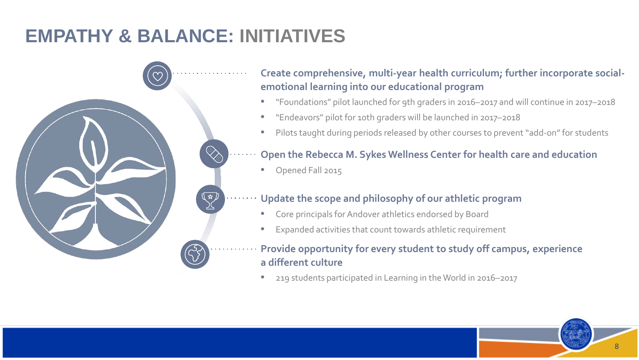# **EMPATHY & BALANCE: INITIATIVES**



### **Create comprehensive, multi-year health curriculum; further incorporate socialemotional learning into our educational program**

- "Foundations" pilot launched for 9th graders in 2016–2017 and will continue in 2017–2018
- "Endeavors" pilot for 10th graders will be launched in 2017–2018
- Pilots taught during periods released by other courses to prevent "add-on" for students

#### **Open the Rebecca M. Sykes Wellness Center for health care and education**

• Opened Fall 2015

#### **Update the scope and philosophy of our athletic program**

- Core principals for Andover athletics endorsed by Board
- Expanded activities that count towards athletic requirement

#### **Provide opportunity for every student to study off campus, experience a different culture**

• 219 students participated in Learning in the World in 2016–2017

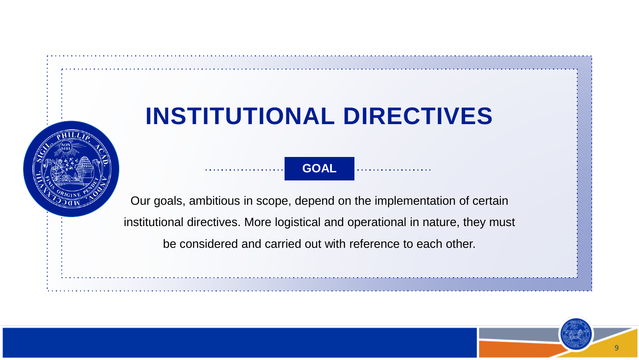# **INSTITUTIONAL DIRECTIVES**

**GOAL**

Our goals, ambitious in scope, depend on the implementation of certain institutional directives. More logistical and operational in nature, they must be considered and carried out with reference to each other.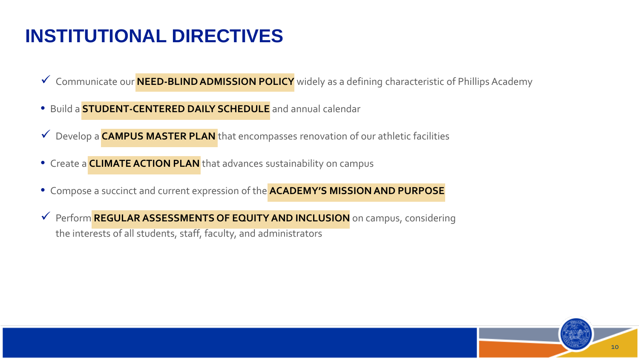## **INSTITUTIONAL DIRECTIVES**

- Communicate our **NEED-BLIND ADMISSION POLICY** widely as a defining characteristic of Phillips Academy
- Build a **STUDENT-CENTERED DAILY SCHEDULE** and annual calendar
- Develop a **CAMPUS MASTER PLAN** that encompasses renovation of our athletic facilities
- Create a **CLIMATE ACTION PLAN** that advances sustainability on campus
- Compose a succinct and current expression of the **ACADEMY'S MISSION AND PURPOSE**
- Perform **REGULAR ASSESSMENTS OF EQUITY AND INCLUSION** on campus, considering the interests of all students, staff, faculty, and administrators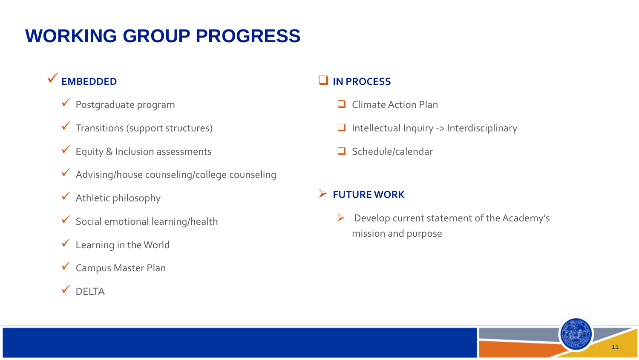## **WORKING GROUP PROGRESS**

### **EMBEDDED**

- $\checkmark$  Postgraduate program
- $\checkmark$  Transitions (support structures)
- $\checkmark$  Equity & Inclusion assessments
- Advising/house counseling/college counseling
- $\checkmark$  Athletic philosophy
- $\checkmark$  Social emotional learning/health
- $\checkmark$  Learning in the World
- Campus Master Plan
- $\checkmark$  DELTA

#### **IN PROCESS**

- **Q** Climate Action Plan
- $\Box$  Intellectual Inquiry -> Interdisciplinary
- $\Box$  Schedule/calendar

#### **FUTURE WORK**

 $\triangleright$  Develop current statement of the Academy's mission and purpose